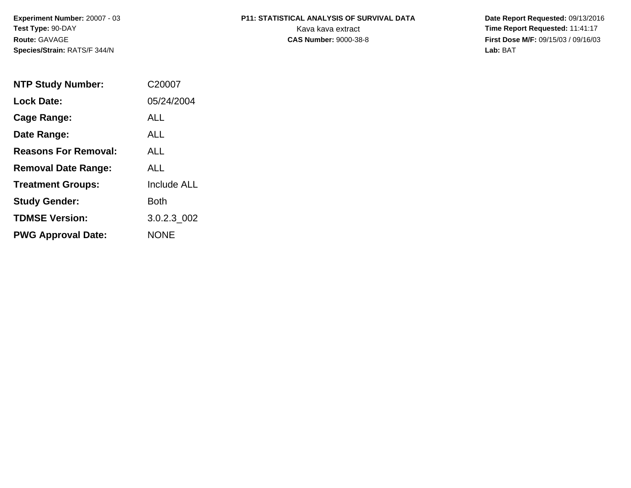**Experiment Number:** 20007 - 03**Test Type:** 90-DAY**Route:** GAVAGE**Species/Strain:** RATS/F 344/N

# **P11: STATISTICAL ANALYSIS OF SURVIVAL DATA**

 **Date Report Requested:** 09/13/2016 Kava kava extract **Time Report Requested:** 11:41:17<br>**CAS Number:** 9000-38-8 **Time Report Requested:** 11:41:17 **First Dose M/F:** 09/15/03 / 09/16/03<br>Lab: BAT **Lab:** BAT

| <b>NTP Study Number:</b>    | C <sub>20007</sub> |
|-----------------------------|--------------------|
| Lock Date:                  | 05/24/2004         |
| Cage Range:                 | ALL                |
| Date Range:                 | ALL                |
| <b>Reasons For Removal:</b> | ALL.               |
| <b>Removal Date Range:</b>  | ALL                |
| <b>Treatment Groups:</b>    | <b>Include ALL</b> |
| <b>Study Gender:</b>        | <b>Both</b>        |
| <b>TDMSE Version:</b>       | 3.0.2.3 002        |
| <b>PWG Approval Date:</b>   | <b>NONE</b>        |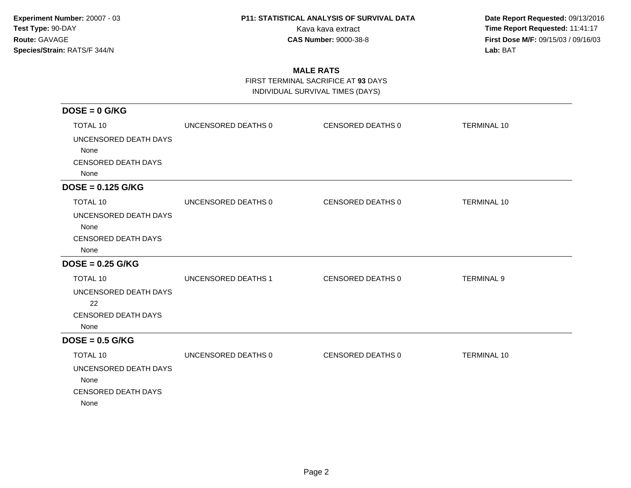**Date Report Requested:** 09/13/2016 Kava kava extract **Time Report Requested:** 11:41:17<br>**CAS Number:** 9000-38-8 **Time Report Requested:** 11:41:17 **First Dose M/F:** 09/15/03 / 09/16/03<br>Lab: BAT **Lab:** BAT

### **MALE RATS**

FIRST TERMINAL SACRIFICE AT **93** DAYS

INDIVIDUAL SURVIVAL TIMES (DAYS)

| $DOSE = 0$ G/KG                                                                 |                     |                   |                    |
|---------------------------------------------------------------------------------|---------------------|-------------------|--------------------|
| TOTAL 10                                                                        | UNCENSORED DEATHS 0 | CENSORED DEATHS 0 | <b>TERMINAL 10</b> |
| UNCENSORED DEATH DAYS<br>None<br><b>CENSORED DEATH DAYS</b><br>None             |                     |                   |                    |
| $DOSE = 0.125$ G/KG                                                             |                     |                   |                    |
| TOTAL 10                                                                        | UNCENSORED DEATHS 0 | CENSORED DEATHS 0 | <b>TERMINAL 10</b> |
| UNCENSORED DEATH DAYS<br>None<br><b>CENSORED DEATH DAYS</b><br>None             |                     |                   |                    |
| $DOSE = 0.25$ G/KG                                                              |                     |                   |                    |
| <b>TOTAL 10</b>                                                                 | UNCENSORED DEATHS 1 | CENSORED DEATHS 0 | <b>TERMINAL 9</b>  |
| UNCENSORED DEATH DAYS<br>22<br><b>CENSORED DEATH DAYS</b><br>None               |                     |                   |                    |
| $DOSE = 0.5$ G/KG                                                               |                     |                   |                    |
| TOTAL 10<br>UNCENSORED DEATH DAYS<br>None<br><b>CENSORED DEATH DAYS</b><br>None | UNCENSORED DEATHS 0 | CENSORED DEATHS 0 | <b>TERMINAL 10</b> |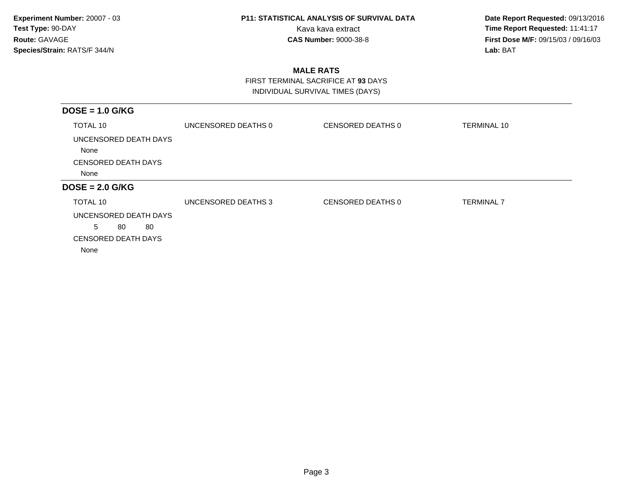**Date Report Requested:** 09/13/2016 Kava kava extract **Time Report Requested:** 11:41:17<br>**CAS Number:** 9000-38-8 **Time Report Requested:** 11:41:17 **First Dose M/F:** 09/15/03 / 09/16/03<br>Lab: BAT **Lab:** BAT

### **MALE RATS**

 FIRST TERMINAL SACRIFICE AT **93** DAYSINDIVIDUAL SURVIVAL TIMES (DAYS)

| UNCENSORED DEATHS 0 | CENSORED DEATHS 0 | <b>TERMINAL 10</b> |
|---------------------|-------------------|--------------------|
|                     |                   |                    |
|                     |                   |                    |
|                     |                   |                    |
|                     |                   |                    |
| UNCENSORED DEATHS 3 | CENSORED DEATHS 0 | <b>TERMINAL 7</b>  |
|                     |                   |                    |
|                     |                   |                    |
|                     |                   |                    |
|                     |                   |                    |
|                     |                   |                    |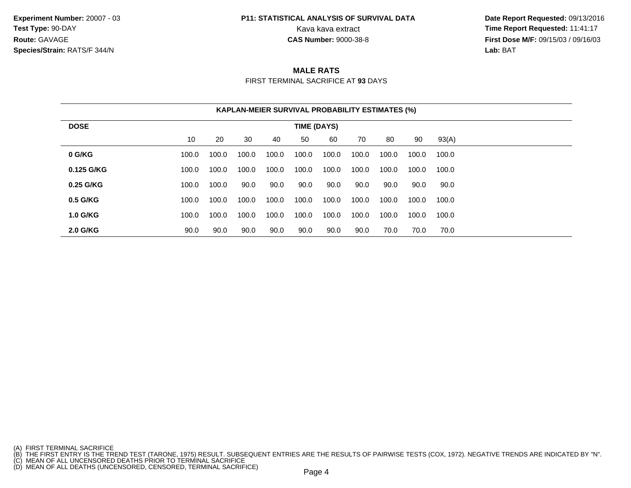**Experiment Number:** 20007 - 03**Test Type:** 90-DAY**Route:** GAVAGE**Species/Strain:** RATS/F 344/N

## **P11: STATISTICAL ANALYSIS OF SURVIVAL DATA**

 **Date Report Requested:** 09/13/2016 Kava kava extract **Time Report Requested:** 11:41:17<br>**CAS Number:** 9000-38-8 **Time Report Requested:** 11:41:17 **First Dose M/F:** 09/15/03 / 09/16/03<br>**Lab:** BAT **Lab:** BAT

#### **MALE RATS**

FIRST TERMINAL SACRIFICE AT **93** DAYS

|                 |       |       |       | <b>KAPLAN-MEIER SURVIVAL PROBABILITY ESTIMATES (%)</b> |             |       |       |       |       |       |
|-----------------|-------|-------|-------|--------------------------------------------------------|-------------|-------|-------|-------|-------|-------|
| <b>DOSE</b>     |       |       |       |                                                        | TIME (DAYS) |       |       |       |       |       |
|                 | 10    | 20    | 30    | 40                                                     | 50          | 60    | 70    | 80    | 90    | 93(A) |
| 0 G/KG          | 100.0 | 100.0 | 100.0 | 100.0                                                  | 100.0       | 100.0 | 100.0 | 100.0 | 100.0 | 100.0 |
| 0.125 G/KG      | 100.0 | 100.0 | 100.0 | 100.0                                                  | 100.0       | 100.0 | 100.0 | 100.0 | 100.0 | 100.0 |
| 0.25 G/KG       | 100.0 | 100.0 | 90.0  | 90.0                                                   | 90.0        | 90.0  | 90.0  | 90.0  | 90.0  | 90.0  |
| 0.5 G/KG        | 100.0 | 100.0 | 100.0 | 100.0                                                  | 100.0       | 100.0 | 100.0 | 100.0 | 100.0 | 100.0 |
| <b>1.0 G/KG</b> | 100.0 | 100.0 | 100.0 | 100.0                                                  | 100.0       | 100.0 | 100.0 | 100.0 | 100.0 | 100.0 |
| <b>2.0 G/KG</b> | 90.0  | 90.0  | 90.0  | 90.0                                                   | 90.0        | 90.0  | 90.0  | 70.0  | 70.0  | 70.0  |

- 
- 

<sup>(</sup>A) FIRST TERMINAL SACRIFICE<br>(B) THE FIRST ENTRY IS THE TREND TEST (TARONE, 1975) RESULT. SUBSEQUENT ENTRIES ARE THE RESULTS OF PAIRWISE TESTS (COX, 1972). NEGATIVE TRENDS ARE INDICATED BY "N".<br>(C) MEAN OF ALL UNCENSORED D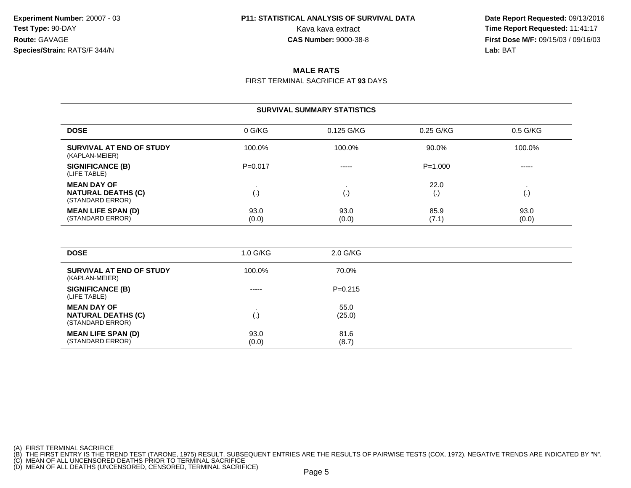**Date Report Requested:** 09/13/2016 Kava kava extract **Time Report Requested:** 11:41:17<br>**CAS Number:** 9000-38-8 **Time Report Requested:** 11:41:17 **First Dose M/F:** 09/15/03 / 09/16/03<br>**Lab:** BAT **Lab:** BAT

### **MALE RATS**

FIRST TERMINAL SACRIFICE AT **93** DAYS

|                                                                     |               | <b>SURVIVAL SUMMARY STATISTICS</b> |                 |                    |
|---------------------------------------------------------------------|---------------|------------------------------------|-----------------|--------------------|
| <b>DOSE</b>                                                         | 0 G/KG        | 0.125 G/KG                         | $0.25$ G/KG     | $0.5$ G/KG         |
| SURVIVAL AT END OF STUDY<br>(KAPLAN-MEIER)                          | 100.0%        | 100.0%                             | 90.0%           | 100.0%             |
| <b>SIGNIFICANCE (B)</b><br>(LIFE TABLE)                             | $P = 0.017$   | $- - - - -$                        | $P = 1.000$     | -----              |
| <b>MEAN DAY OF</b><br><b>NATURAL DEATHS (C)</b><br>(STANDARD ERROR) | (.)           | $\left( . \right)$                 | 22.0<br>$\cdot$ | $\left( . \right)$ |
| <b>MEAN LIFE SPAN (D)</b><br>(STANDARD ERROR)                       | 93.0<br>(0.0) | 93.0<br>(0.0)                      | 85.9<br>(7.1)   | 93.0<br>(0.0)      |

| <b>DOSE</b>                                                         | 1.0 G/KG      | 2.0 G/KG       |  |
|---------------------------------------------------------------------|---------------|----------------|--|
| SURVIVAL AT END OF STUDY<br>(KAPLAN-MEIER)                          | 100.0%        | 70.0%          |  |
| <b>SIGNIFICANCE (B)</b><br>(LIFE TABLE)                             | $- - - - -$   | $P=0.215$      |  |
| <b>MEAN DAY OF</b><br><b>NATURAL DEATHS (C)</b><br>(STANDARD ERROR) | (.)           | 55.0<br>(25.0) |  |
| <b>MEAN LIFE SPAN (D)</b><br>(STANDARD ERROR)                       | 93.0<br>(0.0) | 81.6<br>(8.7)  |  |

(A) FIRST TERMINAL SACRIFICE<br>(B) THE FIRST ENTRY IS THE TREND TEST (TARONE, 1975) RESULT. SUBSEQUENT ENTRIES ARE THE RESULTS OF PAIRWISE TESTS (COX, 1972). NEGATIVE TRENDS ARE INDICATED BY "N".<br>(C) MEAN OF ALL UNCENSORED D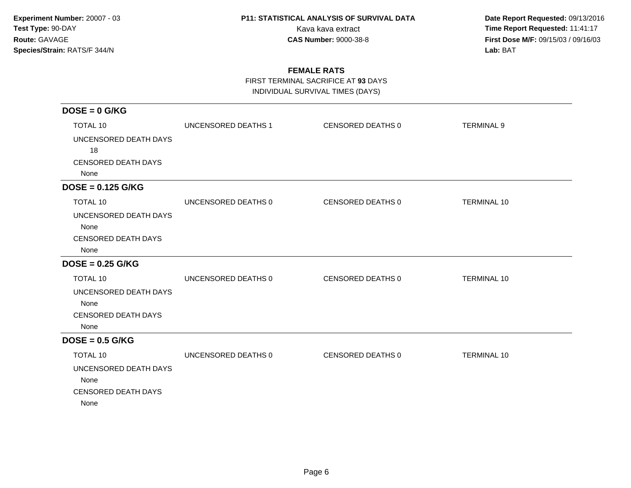**Date Report Requested:** 09/13/2016 Kava kava extract **Time Report Requested:** 11:41:17<br>**CAS Number:** 9000-38-8 **Time Report Requested:** 11:41:17 **First Dose M/F:** 09/15/03 / 09/16/03<br>Lab: BAT **Lab:** BAT

### **FEMALE RATS**

FIRST TERMINAL SACRIFICE AT **93** DAYS

INDIVIDUAL SURVIVAL TIMES (DAYS)

| $DOSE = 0$ G/KG            |                            |                          |                    |
|----------------------------|----------------------------|--------------------------|--------------------|
| <b>TOTAL 10</b>            | <b>UNCENSORED DEATHS 1</b> | <b>CENSORED DEATHS 0</b> | <b>TERMINAL 9</b>  |
| UNCENSORED DEATH DAYS      |                            |                          |                    |
| 18                         |                            |                          |                    |
| <b>CENSORED DEATH DAYS</b> |                            |                          |                    |
| None                       |                            |                          |                    |
| $DOSE = 0.125$ G/KG        |                            |                          |                    |
| <b>TOTAL 10</b>            | UNCENSORED DEATHS 0        | CENSORED DEATHS 0        | <b>TERMINAL 10</b> |
| UNCENSORED DEATH DAYS      |                            |                          |                    |
| None                       |                            |                          |                    |
| <b>CENSORED DEATH DAYS</b> |                            |                          |                    |
| None                       |                            |                          |                    |
| $DOSE = 0.25$ G/KG         |                            |                          |                    |
| <b>TOTAL 10</b>            | UNCENSORED DEATHS 0        | CENSORED DEATHS 0        | <b>TERMINAL 10</b> |
| UNCENSORED DEATH DAYS      |                            |                          |                    |
| None                       |                            |                          |                    |
| <b>CENSORED DEATH DAYS</b> |                            |                          |                    |
| None                       |                            |                          |                    |
| $DOSE = 0.5$ G/KG          |                            |                          |                    |
| <b>TOTAL 10</b>            | UNCENSORED DEATHS 0        | CENSORED DEATHS 0        | <b>TERMINAL 10</b> |
| UNCENSORED DEATH DAYS      |                            |                          |                    |
| None                       |                            |                          |                    |
| <b>CENSORED DEATH DAYS</b> |                            |                          |                    |
| None                       |                            |                          |                    |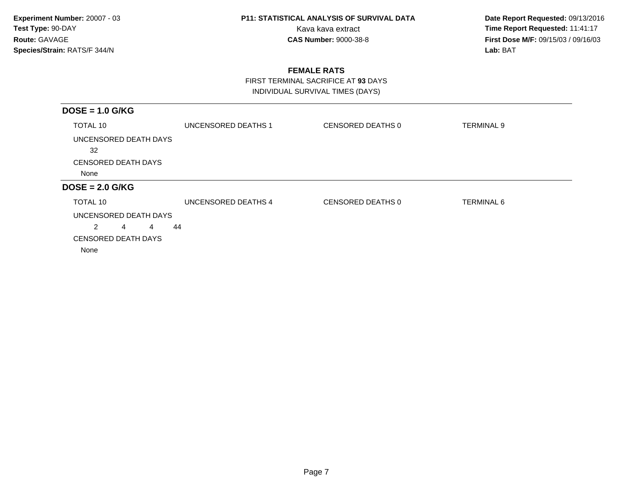**Date Report Requested:** 09/13/2016 Kava kava extract **Time Report Requested:** 11:41:17<br>**CAS Number:** 9000-38-8 **Time Report Requested:** 11:41:17 **First Dose M/F:** 09/15/03 / 09/16/03<br>Lab: BAT **Lab:** BAT

### **FEMALE RATS**

 FIRST TERMINAL SACRIFICE AT **93** DAYSINDIVIDUAL SURVIVAL TIMES (DAYS)

| $DOSE = 1.0$ G/KG                  |                     |                   |                   |
|------------------------------------|---------------------|-------------------|-------------------|
| TOTAL 10                           | UNCENSORED DEATHS 1 | CENSORED DEATHS 0 | <b>TERMINAL 9</b> |
| UNCENSORED DEATH DAYS<br>32        |                     |                   |                   |
| <b>CENSORED DEATH DAYS</b>         |                     |                   |                   |
| None                               |                     |                   |                   |
| $DOSE = 2.0$ G/KG                  |                     |                   |                   |
| TOTAL 10                           | UNCENSORED DEATHS 4 | CENSORED DEATHS 0 | <b>TERMINAL 6</b> |
| UNCENSORED DEATH DAYS              |                     |                   |                   |
| $\overline{2}$<br>44<br>4<br>4     |                     |                   |                   |
| <b>CENSORED DEATH DAYS</b><br>None |                     |                   |                   |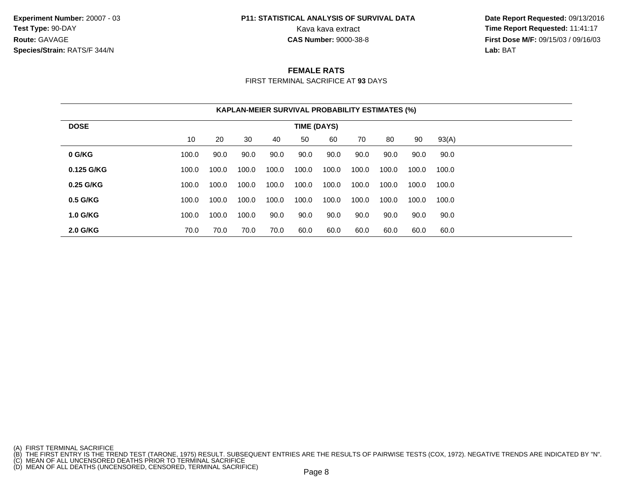**Experiment Number:** 20007 - 03**Test Type:** 90-DAY**Route:** GAVAGE**Species/Strain:** RATS/F 344/N

## **P11: STATISTICAL ANALYSIS OF SURVIVAL DATA**

 **Date Report Requested:** 09/13/2016 Kava kava extract **Time Report Requested:** 11:41:17<br>**CAS Number:** 9000-38-8 **Time Report Requested:** 11:41:17 **First Dose M/F:** 09/15/03 / 09/16/03<br>**Lab:** BAT **Lab:** BAT

#### **FEMALE RATS**

FIRST TERMINAL SACRIFICE AT **93** DAYS

|                 |       |       |       |       |             | <b>KAPLAN-MEIER SURVIVAL PROBABILITY ESTIMATES (%)</b> |       |       |       |       |
|-----------------|-------|-------|-------|-------|-------------|--------------------------------------------------------|-------|-------|-------|-------|
| <b>DOSE</b>     |       |       |       |       | TIME (DAYS) |                                                        |       |       |       |       |
|                 | 10    | 20    | 30    | 40    | 50          | 60                                                     | 70    | 80    | 90    | 93(A) |
| 0 G/KG          | 100.0 | 90.0  | 90.0  | 90.0  | 90.0        | 90.0                                                   | 90.0  | 90.0  | 90.0  | 90.0  |
| 0.125 G/KG      | 100.0 | 100.0 | 100.0 | 100.0 | 100.0       | 100.0                                                  | 100.0 | 100.0 | 100.0 | 100.0 |
| 0.25 G/KG       | 100.0 | 100.0 | 100.0 | 100.0 | 100.0       | 100.0                                                  | 100.0 | 100.0 | 100.0 | 100.0 |
| 0.5 G/KG        | 100.0 | 100.0 | 100.0 | 100.0 | 100.0       | 100.0                                                  | 100.0 | 100.0 | 100.0 | 100.0 |
| <b>1.0 G/KG</b> | 100.0 | 100.0 | 100.0 | 90.0  | 90.0        | 90.0                                                   | 90.0  | 90.0  | 90.0  | 90.0  |
| <b>2.0 G/KG</b> | 70.0  | 70.0  | 70.0  | 70.0  | 60.0        | 60.0                                                   | 60.0  | 60.0  | 60.0  | 60.0  |

(A) FIRST TERMINAL SACRIFICE<br>(B) THE FIRST ENTRY IS THE TREND TEST (TARONE, 1975) RESULT. SUBSEQUENT ENTRIES ARE THE RESULTS OF PAIRWISE TESTS (COX, 1972). NEGATIVE TRENDS ARE INDICATED BY "N".<br>(C) MEAN OF ALL UNCENSORED D